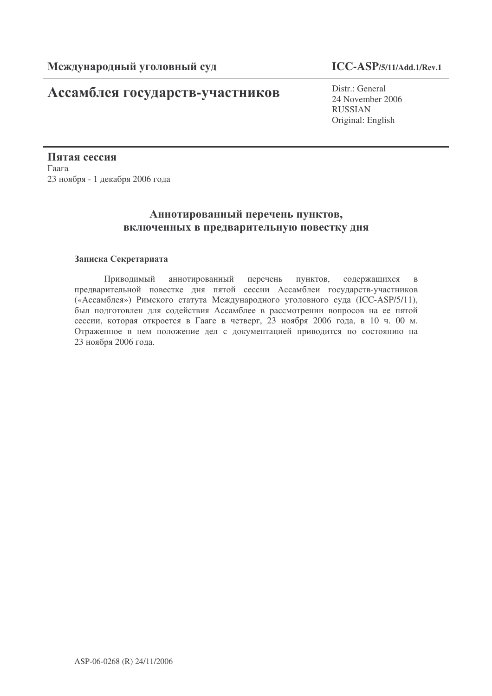# Ассамблея государств-участников

Distr.: General 24 November 2006 RUSSIAN Original: English

Пятая сессия  $\Gamma$ aara 23 ноября - 1 декабря 2006 года

# Аннотированный перечень пунктов, включенных в предварительную повестку дня

# Записка Секретариата

Приводимый ннотированный пе рече пунктов, ржащихся в предварительной повестке дня пятой сессии Ассамблеи государств-участников («Ассамблея») Римского статута Международного уголовного суда (ICC-ASP/5/11), был подготовлен для содействия Ассамблее в рассмотрении вопросов на ее пятой сессии, которая откроется в Гааге в четверг, 23 ноября 2006 года, в 10 ч. 00 м. Отраженное в нем положение дел с документацией приводится по состоянию на 23 ноября 2006 года.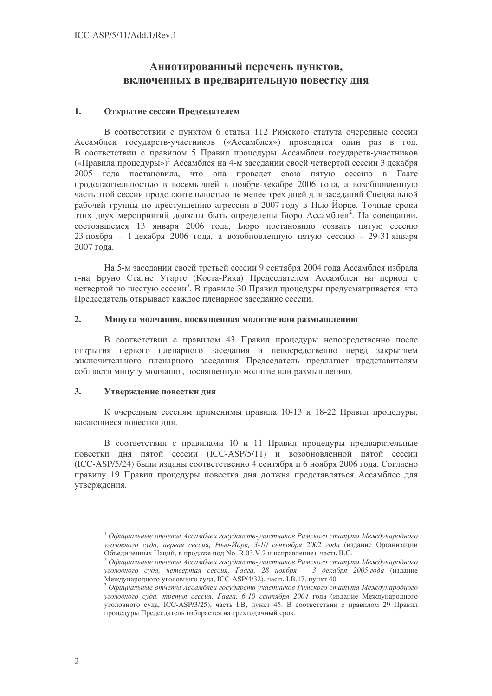# Аннотированный перечень пунктов, включенных в предварительную повестку дня

#### $1.$ Открытие сессии Председателем

В соответствии с пунктом 6 статьи 112 Римского статута очередные сессии Ассамблеи государств-участников («Ассамблея») проводятся один раз в год. В соответствии с правилом 5 Правил процедуры Ассамблеи государств-участников («Правила процедуры»)<sup>1</sup> Ассамблея на 4-м заседании своей четвертой сессии 3 декабря 2005 года постановила, что она проведет свою пятую сессию в Гааге продолжительностью в восемь дней в ноябре-декабре 2006 года, а возобновленную часть этой сессии продолжительностью не менее трех дней для заседаний Специальной рабочей группы по преступлению агрессии в 2007 году в Нью-Йорке. Точные сроки этих лвух мероприятий должны быть определены Бюро Ассамблеи<sup>2</sup>. На совешании, состоявшемся 13 января 2006 года, Бюро постановило созвать пятую сессию 23 ноября - 1 декабря 2006 года, а возобновленную пятую сессию - 29-31 января 2007 гола.

На 5-м заседании своей третьей сессии 9 сентября 2004 года Ассамблея избрала г-на Бруно Стагне Угарте (Коста-Рика) Предселателем Ассамблеи на период с четвертой по шестую сессии<sup>3</sup>. В правиле 30 Правил процедуры предусматривается, что Председатель открывает каждое пленарное заседание сессии.

#### $2.$ Минута молчания, посвященная молитве или размышлению

В соответствии с правилом 43 Правил процедуры непосредственно после открытия первого пленарного заседания и непосредственно перед закрытием заключительного пленарного заседания Председатель предлагает представителям соблюсти минуту молчания, посвященную молитве или размышлению.

#### $3.$ Утверждение повестки дня

К очередным сессиям применимы правила 10-13 и 18-22 Правил процедуры, касающиеся повестки лня.

В соответствии с правилами 10 и 11 Правил процедуры предварительные повестки дня пятой сессии (ICC-ASP/5/11) и возобновленной пятой сессии (ICC-ASP/5/24) были изданы соответственно 4 сентября и 6 ноября 2006 года. Согласно правилу 19 Правил процедуры повестка дня должна представляться Ассамблее для утверждения.

 $^{-1}$ Официальные отчеты Ассамблеи государств-участников Римского статута Международного уголовного суда, первая сессия, Нью-Йорк, 3-10 сентября 2002 года (издание Организации

Объединенных Наций, в продаже под No. R.03.V.2 и исправление), часть П.С.<br><sup>2</sup> Официальные отчеты Ассамблеи государств-участников Римского статута Международного уголовного суда, четвертая сессия, Гаага, 28 ноября - 3 декабря 2005 года (издание Международного уголовного суда, ICC-ASP/4/32), часть I.B.17, пункт 40.

 $3$  Официальные отчеты Ассамблеи государств-участников Римского статута Международного уголовного суда, третья сессия, Гаага, 6-10 сентября 2004 года (издание Международного уголовного суда, ICC-ASP/3/25), часть І.В, пункт 45. В соответствии с правилом 29 Правил процедуры Председатель избирается на трехгодичный срок.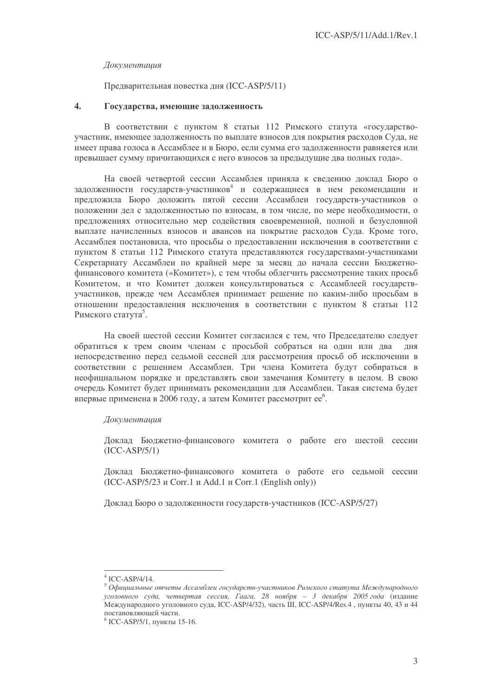### Документация

# Предварительная повестка дня (ICC-ASP/5/11)

#### $\overline{4}$ . Государства, имеющие задолженность

В соответствии с пунктом 8 статьи 112 Римского статута «государствоучастник, имеющее задолженность по выплате взносов для покрытия расходов Суда, не имеет права голоса в Ассамблее и в Бюро, если сумма его задолженности равняется или превышает сумму причитающихся с него взносов за предыдущие два полных года».

На своей четвертой сессии Ассамблея приняла к сведению доклад Бюро о задолженности государств-участников<sup>4</sup> и содержащиеся в нем рекомендации и предложила Бюро доложить пятой сессии Ассамблеи государств-участников о положении дел с задолженностью по взносам, в том числе, по мере необходимости, о предложениях относительно мер содействия своевременной, полной и безусловной выплате начисленных взносов и авансов на покрытие расходов Суда. Кроме того, Ассамблея постановила, что просьбы о предоставлении исключения в соответствии с пунктом 8 статьи 112 Римского статута представляются государствами-участниками Секретариату Ассамблеи по крайней мере за месяц до начала сессии Бюлжетнофинансового комитета («Комитет»), с тем чтобы облегчить рассмотрение таких просьб Комитетом, и что Комитет должен консультироваться с Ассамблеей государствучастников, прежде чем Ассамблея принимает решение по каким-либо просьбам в отношении предоставления исключения в соответствии с пунктом 8 статьи 112 Римского статута<sup>5</sup>.

На своей шестой сессии Комитет согласился с тем, что Председателю следует обратиться к трем своим членам с просьбой собраться на один или два дня непосредственно перед седьмой сессией для рассмотрения просьб об исключении в соответствии с решением Ассамблеи. Три члена Комитета будут собираться в неофициальном порядке и представлять свои замечания Комитету в целом. В свою очередь Комитет будет принимать рекомендации для Ассамблеи. Такая система будет впервые применена в 2006 году, а затем Комитет рассмотрит ее<sup>6</sup>.

### Документация

Доклад Бюджетно-финансового комитета о работе его шестой сессии  $(ICC-ASP/5/1)$ 

Доклад Бюджетно-финансового комитета о работе его седьмой сессии  $(ICC-ASP/5/23 \text{ K}$  Corr.1  $\mu$  Add.1  $\mu$  Corr.1 (English only))

Локлал Бюро о залолженности государств-участников (ICC-ASP/5/27)

 $4$  ICC-ASP/4/14.

 $5$  Официальные отчеты Ассамблеи государств-участников Римского статута Международного уголовного суда, четвертая сессия, Гаага, 28 ноября - 3 декабря 2005 года (издание Международного уголовного суда, ICC-ASP/4/32), часть III, ICC-ASP/4/Res.4, пункты 40, 43 и 44 постановляющей части.

 $6$  ICC-ASP/5/1, пункты 15-16.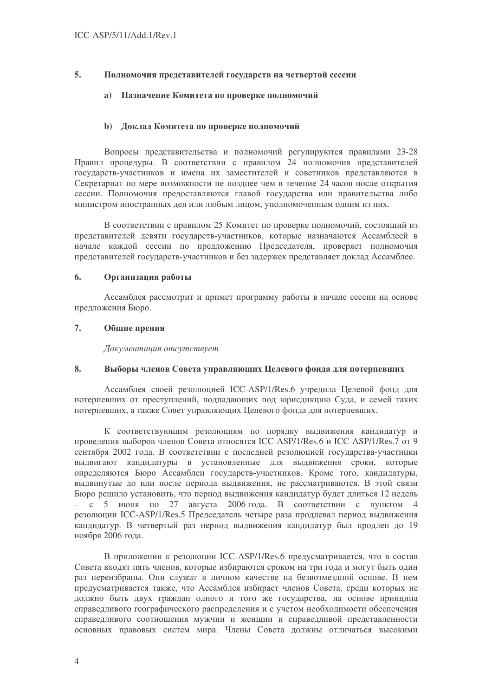#### 5. Полномочия представителей государств на четвертой сессии

#### Назначение Комитета по проверке полномочий  $a)$

# **b)** Доклад Комитета по проверке полномочий

Вопросы представительства и полномочий регулируются правилами 23-28 Правил процедуры. В соответствии с правилом 24 полномочия представителей государств-участников и имена их заместителей и советников представляются в Секретариат по мере возможности не позднее чем в течение 24 часов после открытия сессии. Полномочия предоставляются главой государства или правительства либо министром иностранных дел или любым лицом, уполномоченным одним из них.

В соответствии с правилом 25 Комитет по проверке полномочий, состоящий из представителей девяти государств-участников, которые назначаются Ассамблеей в начале каждой сессии по предложению Председателя, проверяет полномочия представителей государств-участников и без задержек представляет доклад Ассамблее.

#### 6. Организация работы

Ассамблея рассмотрит и примет программу работы в начале сессии на основе предложения Бюро.

#### 7. Общие прения

Документация отсутствует

#### 8. Выборы членов Совета управляющих Целевого фонда для потерпевших

Ассамблея своей резолюцией ICC-ASP/1/Res.6 учредила Целевой фонд для потерпевших от преступлений, подпадающих под юрисдикцию Суда, и семей таких потерпевших, а также Совет управляющих Целевого фонда для потерпевших.

К соответствующим резолюциям по порядку выдвижения кандидатур и проведения выборов членов Совета относятся ICC-ASP/1/Res.6 и ICC-ASP/1/Res.7 от 9 сентября 2002 года. В соответствии с последней резолюцией государства-участники выдвигают кандидатуры в установленные для выдвижения сроки, которые определяются Бюро Ассамблеи государств-участников. Кроме того, кандидатуры, выдвинутые до или после периода выдвижения, не рассматриваются. В этой связи Бюро решило установить, что период выдвижения кандидатур будет длиться 12 недель  $-$  с 5 июня по 27 августа 2006 года. В соответствии с пунктом 4 резолюции ICC-ASP/1/Res.5 Председатель четыре раза продлевал период выдвижения кандидатур. В четвертый раз период выдвижения кандидатур был продлен до 19 ноября 2006 года.

В приложении к резолюции ICC-ASP/1/Res.6 предусматривается, что в состав Совета входят пять членов, которые избираются сроком на три года и могут быть один раз переизбраны. Они служат в личном качестве на безвозмезлной основе. В нем предусматривается также, что Ассамблея избирает членов Совета, среди которых не должно быть двух граждан одного и того же государства, на основе принципа справедливого географического распределения и с учетом необходимости обеспечения справедливого соотношения мужчин и женщин и справедливой представленности основных правовых систем мира. Члены Совета должны отличаться высокими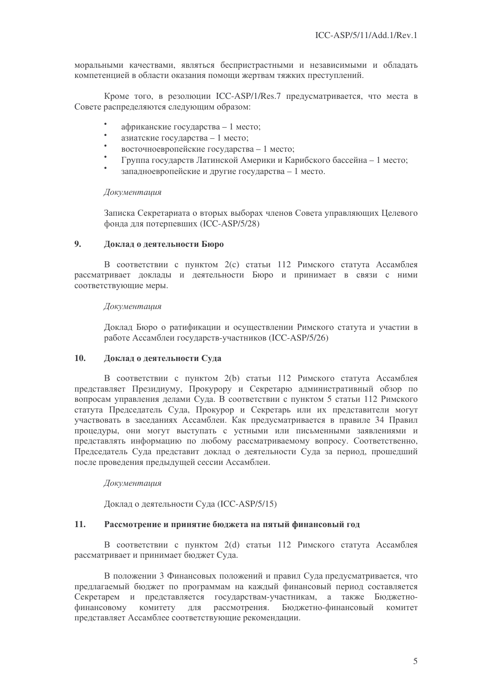моральными качествами, являться беспристрастными и независимыми и обладать компетенцией в области оказания помощи жертвам тяжких преступлений.

Кроме того, в резолюции ICC-ASP/1/Res.7 предусматривается, что места в Совете распределяются следующим образом:

- африканские государства 1 место;
- азиатские государства 1 место;
- $\bullet$ восточноевропейские государства - 1 место;
- Группа государств Латинской Америки и Карибского бассейна 1 место;
- запалноевропейские и другие государства 1 место.

### Документашия

Записка Секретариата о вторых выборах членов Совета управляющих Целевого фонда для потерпевших (ICC-ASP/5/28)

#### $9<sub>1</sub>$ Доклад о деятельности Бюро

В соответствии с пунктом 2(с) статьи 112 Римского статута Ассамблея рассматривает доклады и деятельности Бюро и принимает в связи с ними соответствующие меры.

### Документашия

Доклад Бюро о ратификации и осуществлении Римского статута и участии в работе Ассамблеи государств-участников (ICC-ASP/5/26)

#### $10.$ Локлад о деятельности Суда

В соответствии с пунктом 2(b) статьи 112 Римского статута Ассамблея представляет Президиуму, Прокурору и Секретарю административный обзор по вопросам управления делами Суда. В соответствии с пунктом 5 статьи 112 Римского статута Председатель Суда, Прокурор и Секретарь или их представители могут участвовать в заседаниях Ассамблеи. Как предусматривается в правиле 34 Правил процедуры, они могут выступать с устными или письменными заявлениями и представлять информацию по любому рассматриваемому вопросу. Соответственно, Председатель Суда представит доклад о деятельности Суда за период, прошедший после проведения предыдущей сессии Ассамблеи.

### Документация

Доклад о деятельности Суда (ICC-ASP/5/15)

#### 11. Рассмотрение и принятие бюджета на пятый финансовый год

В соответствии с пунктом 2(d) статьи 112 Римского статута Ассамблея рассматривает и принимает бюджет Суда.

В положении 3 Финансовых положений и правил Суда предусматривается, что предлагаемый бюджет по программам на каждый финансовый период составляется Секретарем и представляется государствам-участникам, а также Бюджетнофинансовому комитету для рассмотрения. Бюджетно-финансовый комитет представляет Ассамблее соответствующие рекомендации.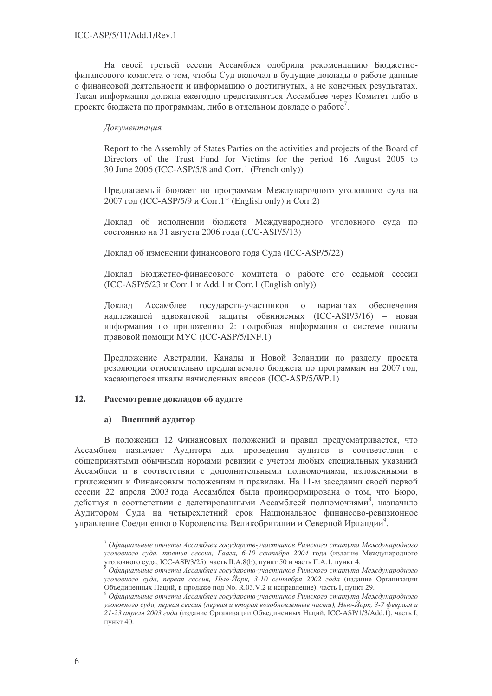На своей третьей сессии Ассамблея одобрила рекомендацию Бюджетнофинансового комитета о том, чтобы Суд включал в будущие доклады о работе данные о финансовой деятельности и информацию о достигнутых, а не конечных результатах. Такая информация должна ежегодно представляться Ассамблее через Комитет либо в проекте бюджета по программам, либо в отдельном докладе о работе<sup>7</sup>.

# Документация

Report to the Assembly of States Parties on the activities and projects of the Board of Directors of the Trust Fund for Victims for the period 16 August 2005 to 30 June 2006 (ICC-ASP/5/8 and Corr.1 (French only))

Предлагаемый бюджет по программам Международного уголовного суда на 2007 год (ICC-ASP/5/9 и Corr.1\* (English only) и Corr.2)

Доклад об исполнении бюджета Международного уголовного суда по состоянию на 31 августа 2006 года (ICC-ASP/5/13)

Доклад об изменении финансового года Суда (ICC-ASP/5/22)

Доклад Бюджетно-финансового комитета о работе его седьмой сессии  $(ICC-ASP/5/23 \tImes$  Corr.1  $\mu$  Add.1  $\mu$  Corr.1 (English only))

Доклад Ассамблее государств-участников о вариантах обе спечения надлежащей адвокатской защиты обвиняемых (ICC-ASP/3/16) - новая информация по приложению 2: подробная информация о системе оплаты правовой помощи MУC (ICC-ASP/5/INF.1)

Предложение Австралии, Канады и Новой Зеландии по разделу проекта резолюции относительно предлагаемого бюджета по программам на 2007 год, касающегося шкалы начисленных вносов (ICC-ASP/5/WP.1)

# 12. Рассмотрение докладов об аудите

# **a)** Внешний аудитор

В положении 12 Финансовых положений и правил предусматривается, что Ассамблея назначает Аудитора для проведения аудитов в соответствии с общепринятыми обычными нормами ревизии с учетом любых специальных указаний Ассамблеи и в соответствии с дополнительными полномочиями, изложенными в приложении к Финансовым положениям и правилам. На 11-м заседании своей первой сессии 22 апреля 2003 года Ассамблея была проинформирована о том, что Бюро, действуя в соответствии с делегированными Ассамблеей полномочиями<sup>8</sup>, назначило Аудитором Суда на четырехлетний срок Национальное финансово-ревизионное управление Соединенного Королевства Великобритании и Северной Ирландии<sup>9</sup>.

 $^7$  Официальные отчеты Ассамблеи государств-участников Римского статута Международного уголовного суда, третья сессия, Гаага, 6-10 сентября 2004 года (издание Международного уголовного суда, ICC-ASP/3/25), часть II.A.8(b), пункт 50 и часть II.A.1, пункт 4.

 $^{\text{8}}$  Официальные отчеты Ассамблеи государств-участников Римского статута Международного уголовного суда, первая сессия, Нью-Йорк, 3-10 сентября 2002 года (издание Организации Объединенных Наций, в продаже под No. R.03.V.2 и исправление), часть I, пункт 29.

<sup>&</sup>lt;sup>9</sup> Официальные отчеты Ассамблеи государств-участников Римского статута Международного уголовного суда, первая сессия (первая и вторая возобновленные части), Нью-Йорк, 3-7 февраля и 21-23 апреля 2003 года (издание Организации Объединенных Наций, ICC-ASP/1/3/Add.1), часть I, пункт 40.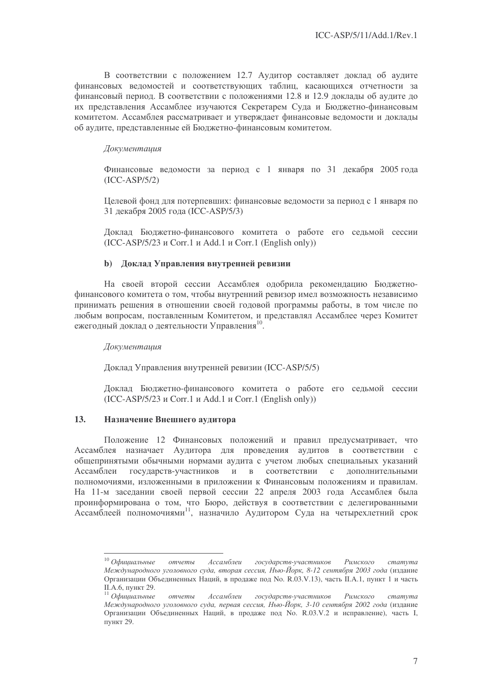В соответствии с положением 12.7 Аудитор составляет доклад об аудите финансовых ведомостей и соответствующих таблиц, касающихся отчетности за финансовый период. В соответствии с положениями 12.8 и 12.9 доклады об аудите до их представления Ассамблее изучаются Секретарем Суда и Бюджетно-финансовым комитетом. Ассамблея рассматривает и утверждает финансовые ведомости и доклады об аудите, представленные ей Бюджетно-финансовым комитетом.

# Документация

Финансовые ведомости за период с 1 января по 31 декабря 2005 года (ICC-ASP/5/2)

Целевой фонд для потерпевших: финансовые ведомости за период с 1 января по 31 декабря 2005 года (ICC-ASP/5/3)

Доклад Бюджетно-финансового комитета о работе его седьмой сессии  $(ICC-ASP/5/23 \text{ u Corr.1 u Add.1 u Corr.1 (English only}))$ 

# b) Доклад Управления внутренней ревизии

На своей второй сессии Ассамблея одобрила рекомендацию Бюджетнофинансового комитета о том, чтобы внутренний ревизор имел возможность независимо принимать решения в отношении своей годовой программы работы, в том числе по любым вопросам, поставленным Комитетом, и представлял Ассамблее через Комитет ежегодный доклад о деятельности Управления<sup>10</sup>.

Документация

Доклад Управления внутренней ревизии (ICC-ASP/5/5)

Доклад Бюджетно-финансового комитета о работе его седьмой сессии  $(ICC-ASP/5/23 \text{ K}$  Corr.1  $\mu$  Add.1  $\mu$  Corr.1 (English only))

# 13. Назначение Внешнего аудитора

Положение 12 Финансовых положений и правил предусматривает, что Ассамблея назначает Аудитора для проведения аудитов в соответствии с общепринятыми обычными нормами аудита с учетом любых специальных указаний Ассамблеи государств-участников и в соотве в соответствии с дополнительными полномочиями, изложенными в приложении к Финансовым положениям и правилам. На 11-м заседании своей первой сессии 22 апреля 2003 года Ассамблея была проинформирована о том, что Бюро, действуя в соответствии с делегированными Ассамблеей полномочиями<sup>11</sup>, назначило Аудитором Суда на четырехлетний срок

 $^{10}$  Официальные отчеты Ассамблеи государств-участников Римского статута Международного уголовного суда, вторая сессия, Нью-Йорк, 8-12 сентября 2003 года (издание Организации Объединенных Наций, в продаже под No. R.03.V.13), часть II.A.1, пункт 1 и часть II.А.6, пункт 29.

 $11$  Официальные отчеты Ассамблеи государств-участников Римского статута Международного уголовного суда, первая сессия, Нью-Йорк, 3-10 сентября 2002 года (издание Организации Объединенных Наций, в продаже под No. R.03.V.2 и исправление), часть I, пункт 29.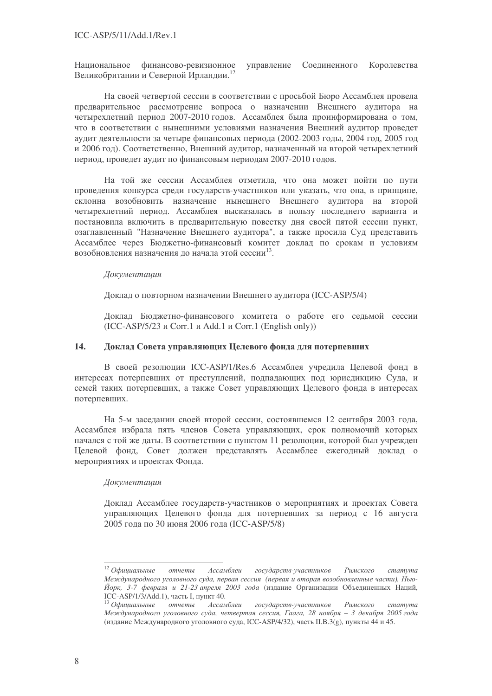Национальное финансово-ревизионное управление Соедине нного Королевства Великобритании и Северной Ирландии.<sup>12</sup>

На своей четвертой сессии в соответствии с просьбой Бюро Ассамблея провела предварительное рассмотрение вопроса о назначении Внешнего аудитора на четырехлетний период 2007-2010 годов. Ассамблея была проинформирована о том, что в соответствии с нынешними условиями назначения Внешний аудитор проведет аудит деятельности за четыре финансовых периода (2002-2003 годы, 2004 год, 2005 год и 2006 год). Соответственно, Внешний аудитор, назначенный на второй четырехлетний период, проведет аудит по финансовым периодам 2007-2010 годов.

На той же сессии Ассамблея отметила, что она может пойти по пути проведения конкурса среди государств-участников или указать, что она, в принципе, склонна возобновить назначение нынешнего Внешнего аудитора на второй четырехлетний период. Ассамблея высказалась в пользу последнего варианта и постановила включить в предварительную повестку дня своей пятой сессии пункт, озаглавленный "Назначение Внешнего аудитора", а также просила Суд представить Ассамблее через Бюджетно-финансовый комитет доклад по срокам и условиям возобновления назначения до начала этой сессии<sup>13</sup>.

### Документация

Доклад о повторном назначении Внешнего аудитора (ICC-ASP/5/4)

Доклад Бюджетно-финансового комитета о работе его седьмой сессии  $(ICC-ASP/5/23 \t{u}$  Corr.1  $u$  Add.1  $u$  Corr.1 (English only))

# 14. Доклад Совета управляющих Целевого фонда для потерпевших

В своей резолюции ICC-ASP/1/Res.6 Ассамблея учредила Целевой фонд в интересах потерпевших от преступлений, подпадающих под юрисдикцию Суда, и семей таких потерпевших, а также Совет управляющих Целевого фонда в интересах потерпевших.

На 5-м заседании своей второй сессии, состоявшемся 12 сентября 2003 года, Ассамблея избрала пять членов Совета управляющих, срок полномочий которых начался с той же даты. В соответствии с пунктом 11 резолюции, которой был учрежден Целевой фонд, Совет должен представлять Ассамблее ежегодный доклад о мероприятиях и проектах Фонда.

### Документация

Доклад Ассамблее государств-участников о мероприятиях и проектах Совета управляющих Целевого фонда для потерпевших за период с 16 августа 2005 года по 30 июня 2006 года (ICC-ASP/5/8)

 $12$  Официальные отчеты Ассамблеи государств-участников Римского статута Международного уголовного суда, первая сессия (первая и вторая возобновленные части), Нью-Йорк, 3-7 февраля и 21-23 апреля 2003 года (издание Организации Объединенных Наций, ICC-ASP/1/3/Add.1), часть I, пункт 40.

 $^{13}$  Официальные отчеты Ассамблеи государств-участников Римского статута Международного уголовного суда, четвертая сессия, Гаага, 28 ноября – 3 декабря 2005 года (издание Международного уголовного суда, ICC-ASP/4/32), часть II.B.3(g), пункты 44 и 45.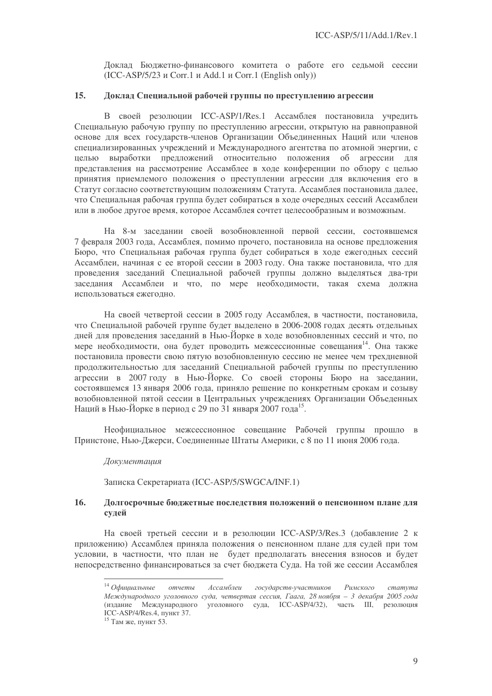Доклад Бюджетно-финансового комитета о работе его седьмой сессии  $(ICC-ASP/5/23 \text{ u Corr.1 u Add.1 u Corr.1 (English only))$ 

#### $15.$ Локлад Специальной рабочей группы по преступлению агрессии

В своей резолюции ICC-ASP/1/Res.1 Ассамблея постановила учредить Специальную рабочую группу по преступлению агрессии, открытую на равноправной основе для всех государств-членов Организации Объединенных Наций или членов специализированных учреждений и Международного агентства по атомной энергии, с целью выработки предложений относительно положения об агрессии для представления на рассмотрение Ассамблее в ходе конференции по обзору с целью принятия приемлемого положения о преступлении агрессии для включения его в Статут согласно соответствующим положениям Статута. Ассамблея постановила далее, что Специальная рабочая группа будет собираться в ходе очередных сессий Ассамблеи или в любое другое время, которое Ассамблея сочтет целесообразным и возможным.

На 8-м заседании своей возобновленной первой сессии, состоявшемся 7 февраля 2003 года, Ассамблея, помимо прочего, постановила на основе предложения Бюро, что Специальная рабочая группа будет собираться в ходе ежегодных сессий Ассамблеи, начиная с ее второй сессии в 2003 году. Она также постановила, что для проведения заседаний Специальной рабочей группы должно выделяться два-три заседания Ассамблеи и что, по мере необходимости, такая схема должна использоваться ежегодно.

На своей четвертой сессии в 2005 году Ассамблея, в частности, постановила, что Специальной рабочей группе будет выделено в 2006-2008 годах десять отдельных дней для проведения заседаний в Нью-Йорке в ходе возобновленных сессий и что, по мере необходимости, она будет проводить межсессионные совещания<sup>14</sup>. Она также постановила провести свою пятую возобновленную сессию не менее чем трехдневной продолжительностью для заседаний Специальной рабочей группы по преступлению агрессии в 2007 году в Нью-Йорке. Со своей стороны Бюро на заседании, состоявшемся 13 января 2006 года, приняло решение по конкретным срокам и созыву возобновленной пятой сессии в Центральных учреждениях Организации Объеденных Наций в Нью-Йорке в период с 29 по 31 января 2007 года<sup>15</sup>.

Неофициальное межсессионное совещание Рабочей группы прошло в Принстоне, Нью-Джерси, Соединенные Штаты Америки, с 8 по 11 июня 2006 года.

### Документашия

Записка Секретариата (ICC-ASP/5/SWGCA/INF.1)

#### 16. Долгосрочные бюджетные последствия положений о пенсионном плане для сулей

На своей третьей сессии и в резолюции ICC-ASP/3/Res.3 (добавление 2 к приложению) Ассамблея приняла положения о пенсионном плане для судей при том условии, в частности, что план не будет предполагать внесения взносов и будет непосредственно финансироваться за счет бюджета Суда. На той же сессии Ассамблея

 $14$  Офишиальные Ассамблеи отчеты государств-участников Римского  $c$ mamvma Международного уголовного суда, четвертая сессия, Гаага, 28 ноября - 3 декабря 2005 года (издание Международного уголовного суда, ICC-ASP/4/32), часть III, резолюция ICC-ASP/4/Res.4. TIVHKT 37.

<sup>&</sup>lt;sup>15</sup> Там же, пункт 53.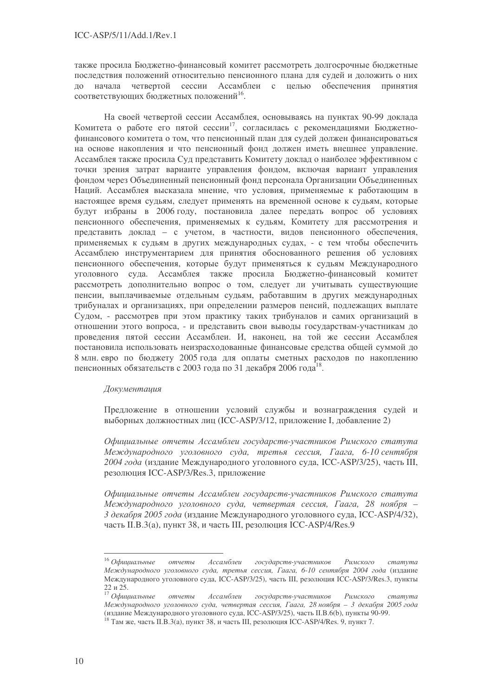также просила Бюджетно-финансовый комитет рассмотреть долгосрочные бюджетные последствия положений относительно пенсионного плана для судей и доложить о них до начала четвертой сессии Ассамблеи с целью обеспечения Принятия соответствующих бюджетных положений<sup>16</sup>.

На своей четвертой сессии Ассамблея, основываясь на пунктах 90-99 доклада Комитета о работе его пятой сессии<sup>17</sup>, согласилась с рекомендациями Бюджетнофинансового комитета о том, что пенсионный план для судей должен финансироваться на основе накопления и что пенсионный фонд должен иметь внешнее управление. Ассамблея также просила Суд представить Комитету доклад о наиболее эффективном с точки зрения затрат варианте управления фондом, включая вариант управления фондом через Объединенный пенсионный фонд персонала Организации Объединенных Наций. Ассамблея высказала мнение, что условия, применяемые к работающим в настоящее время судьям, следует применять на временной основе к судьям, которые будут избраны в 2006 году, постановила далее передать вопрос об условиях пенсионного обеспечения, применяемых к судьям, Комитету для рассмотрения и представить доклад - с учетом, в частности, видов пенсионного обеспечения, применяемых к судьям в других международных судах, - с тем чтобы обеспечить Ассамблею инструментарием для принятия обоснованного решения об условиях пенсионного обеспечения, которые будут применяться к судьям Международного уголовного суда. Ассамблея также просила Бюджетно-финансовый комитет рассмотреть дополнительно вопрос о том, следует ли учитывать существующие пенсии, выплачиваемые отдельным судьям, работавшим в других международных трибуналах и организациях, при определении размеров пенсий, подлежащих выплате Судом, - рассмотрев при этом практику таких трибуналов и самих организаций в отношении этого вопроса, - и представить свои выводы государствам-участникам до проведения пятой сессии Ассамблеи. И, наконец, на той же сессии Ассамблея постановила использовать неизрасходованные финансовые средства общей суммой до 8 млн. евро по бюджету 2005 года для оплаты сметных расходов по накоплению пенсионных обязательств с 2003 года по 31 декабря 2006 года<sup>18</sup>.

# Документация

Предложение в отношении условий службы и вознаграждения судей и выборных должностных лиц (ICC-ASP/3/12, приложение I, добавление 2)

Официальные отчеты Ассамблеи государств-участников Римского статута Международного уголовного суда, третья сессия, Гаага, 6-10 сентября 2004 года (издание Международного уголовного суда, ICC-ASP/3/25), часть III, резолюция ICC-ASP/3/Res.3, приложение

Официальные отчеты Ассамблеи государств-участников Римского статута Международного уголовного суда, четвертая сессия, Гаага, 28 ноября -3 декабря 2005 года (издание Международного уголовного суда, ICC-ASP/4/32), часть II.В.3(а), пункт 38, и часть III, резолюция ICC-ASP/4/Res.9

 $16$  Официальные Ассамблеи государств-участников Римского отчеты  $c$ mamyma Международного уголовного суда, третья сессия, Гаага, 6-10 сентября 2004 года (издание Международного уголовного суда, ICC-ASP/3/25), часть III, резолюция ICC-ASP/3/Res.3, пункты 22 и 25.

 $17$  Официальные Римского Ассамблеи государств-участников отчеты  $c$ mamyma Международного уголовного суда, четвертая сессия, Гаага, 28 ноября - 3 декабря 2005 года (излание Международного уголовного суда, ICC-ASP/3/25), часть II.B.  $o(b)$ , пункты 90-99.

<sup>&</sup>lt;sup>18</sup> Там же, часть II.B.3(а), пункт 38, и часть III, резолюция ICC-ASP/4/Res. 9, пункт 7.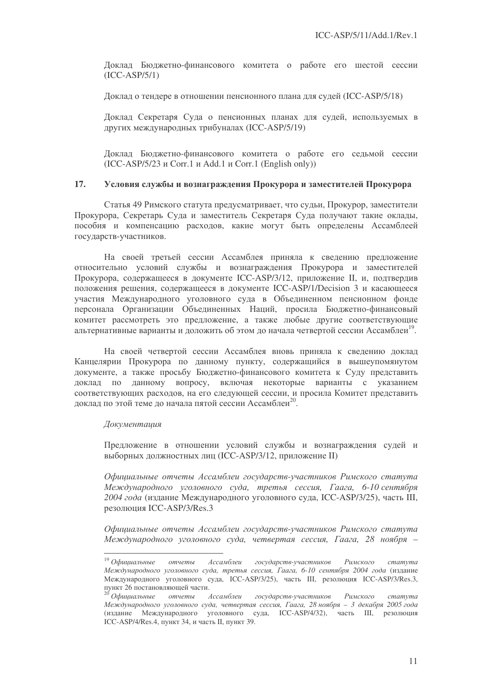Доклад Бюджетно-финансового комитета о работе его шестой сессии (ICC-ASP/5/1)

Доклад о тендере в отношении пенсионного плана для судей (ICC-ASP/5/18)

Доклад Секретаря Суда о пенсионных планах для судей, используемых в других международных трибуналах (ICC-ASP/5/19)

Доклад Бюджетно-финансового комитета о работе его седьмой сессии  $(ICC-ASP/5/23 \text{ u Corr.1 u Add.1 u Corr.1 (English only}))$ 

# 17. Условия службы и вознаграждения Прокурора и заместителей Прокурора

Статья 49 Римского статута предусматривает, что судьи, Прокурор, заместители Прокурора, Секретарь Суда и заместитель Секретаря Суда получают такие оклады, пособия и компенсацию расходов, какие могут быть определены Ассамблеей государств-участников.

На своей третьей сессии Ассамблея приняла к сведению предложение относительно условий службы и вознаграждения Прокурора и заместителей Прокурора, содержащееся в документе ICC-ASP/3/12, приложение II, и, подтвердив положения решения, содержащееся в документе ICC-ASP/1/Decision 3 и касающееся участия Международного уголовного суда в Объединенном пенсионном фонде персонала Организации Объединенных Наций, просила Бюджетно-финансовый комитет рассмотреть это предложение, а также любые другие соответствующие альтернативные варианты и доложить об этом до начала четвертой сессии Ассамблеи<sup>19</sup>.

На своей четвертой сессии Ассамблея вновь приняла к сведению доклад Канцелярии Прокурора по данному пункту, содержащийся в вышеупомянутом документе, а также просьбу Бюджетно-финансового комитета к Суду представить доклад по данному вопросу, включая некоторые варианты с указанием соответствующих расходов, на его следующей сессии, и просила Комитет представить доклад по этой теме до начала пятой сессии Ассамблеи<sup>20</sup>.

### Документация

Предложение в отношении условий службы и вознаграждения судей и выборных должностных лиц (ICC-ASP/3/12, приложение II)

Официальные отчеты Ассамблеи государств-участников Римского статута Международного уголовного суда, третья сессия, Гаага, 6-10-сентября 2004 года (издание Международного уголовного суда, ICC-ASP/3/25), часть III, резолюция ICC-ASP/3/Res.3

Официальные отчеты Ассамблеи государств-участников Римского статута Международного уголовного суда, четвертая сессия, Гаага, 28 ноября –

 $^{19}$  Официальные отчеты Ассамблеи государств-участников Римского статута Международного уголовного суда, третья сессия, Гаага, 6-10 сентября 2004 года (издание Международного уголовного суда, ICC-ASP/3/25), часть III, резолюция ICC-ASP/3/Res.3, пункт 26 постановляющей части.

<sup>&</sup>lt;sup>20</sup> Официальные отчеты Ассамблеи государств-участников Римского статута Международного уголовного суда, четвертая сессия, Гаага, 28 ноября – 3 декабря 2005 года (издание Международного уголовного суда, ICC-ASP/4/32), часть III, резолюция ICC-ASP/4/Res.4, пункт 34, и часть II, пункт 39.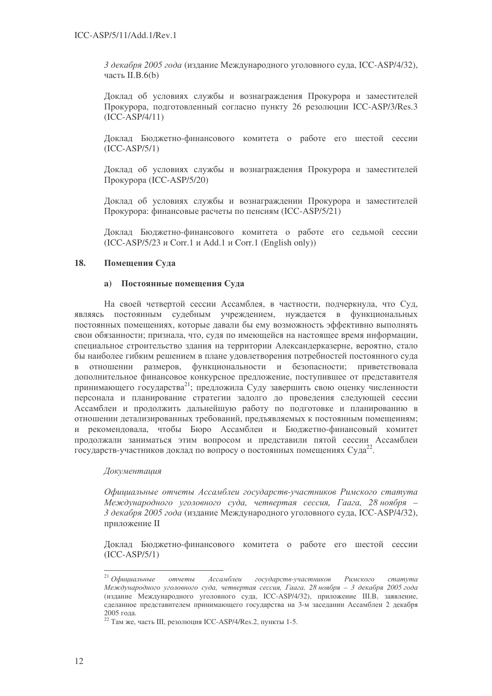3 декабря 2005 года (издание Международного уголовного суда, ICC-ASP/4/32), часть II.B.6(b)

Доклад об условиях службы и вознаграждения Прокурора и заместителей Прокурора, подготовленный согласно пункту 26 резолюции ICC-ASP/3/Res.3 (ICC-ASP/4/11)

Доклад Бюджетно-финансового комитета о работе его шестой сессии (ICC-ASP/5/1)

Доклад об условиях службы и вознаграждения Прокурора и заместителей Прокурора (ICC-ASP/5/20)

Доклад об условиях службы и вознаграждении Прокурора и заместителей Прокурора: финансовые расчеты по пенсиям (ICC-ASP/5/21)

Доклад Бюджетно-финансового комитета о работе его седьмой сессии  $(ICC-ASP/5/23 \text{ u Corr.1 u Add.1 u Corr.1 (English only}))$ 

# 18. Помещения Суда

# а) Постоянные помещения Суда

На своей четвертой сессии Ассамблея, в частности, подчеркнула, что Суд, являясь постоянным судебным учреждением, нуждается в функциональных постоянных помещениях, которые давали бы ему возможность эффективно выполнять свои обязанности; признала, что, судя по имеющейся на настоящее время информации, специальное строительство здания на территории Александерказерне, вероятно, стало бы наиболее гибким решением в плане удовлетворения потребностей постоянного суда в отношении размеров, функциональности и безопасности; приветствовала дополнительное финансовое конкурсное предложение, поступившее от представителя принимающего государства<sup>21</sup>; предложила Суду завершить свою оценку численности персонала и планирование стратегии задолго до проведения следующей сессии Ассамблеи и продолжить дальнейшую работу по подготовке и планированию в отношении детализированных требований, предъявляемых к постоянным помещениям; и рекомендовала, чтобы Бюро Ассамблеи и Бюджетно-финансовый комитет продолжали заниматься этим вопросом и представили пятой сессии Ассамблеи государств-участников доклад по вопросу о постоянных помещениях Суда<sup>22</sup>.

# Документация

Официальные отчеты Ассамблеи государств-участников Римского статута Международного уголовного суда, четвертая сессия, Гаага, 28 ноября – 3 декабря 2005 года (издание Международного уголовного суда, ICC-ASP/4/32), приложение II

Доклад Бюджетно-финансового комитета о работе его шестой сессии (ICC-ASP/5/1)

 $^{\mathrm{21}}$  Официальные  $OMU\ell$ Ассамблеи государств-участников Римского статута Международного уголовного суда, четвертая сессия, Гаага, 28 ноября – 3 декабря 2005 года (издание Международного уголовного суда, ICC-ASP/4/32), приложение III.В, заявление, сделанное представителем принимающего государства на 3-м заседании Ассамблеи 2 декабря 2005 года.

<sup>&</sup>lt;sup>22</sup> Там же, часть III, резолюция ICC-ASP/4/Res.2, пункты 1-5.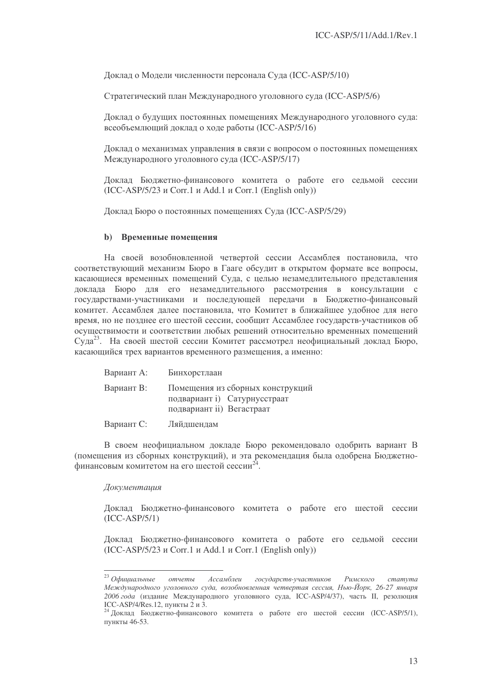Доклад о Модели численности персонала Суда (ICC-ASP/5/10)

Стратегический план Международного уголовного суда (ICC-ASP/5/6)

Доклад о будущих постоянных помещениях Международного уголовного суда: всеобъемлющий доклад о ходе работы (ICC-ASP/5/16)

Доклад о механизмах управления в связи с вопросом о постоянных помещениях Международного уголовного суда (ICC-ASP/5/17)

Доклад Бюджетно-финансового комитета о работе его седьмой сессии  $(ICC-ASP/5/23 \text{ K}$  Corr.1  $\mu$  Add.1  $\mu$  Corr.1 (English only))

Доклад Бюро о постоянных помещениях Суда (ICC-ASP/5/29)

### **b)** Временные помещения

На своей возобновленной четвертой сессии Ассамблея постановила, что соответствующий механизм Бюро в Гааге обсудит в открытом формате все вопросы, касающиеся временных помещений Суда, с целью незамедлительного представления доклада Бюро для его незамедлительного рассмотрения в консультации с государствами-участниками и последующей передачи в Бюджетно-финансовый комитет. Ассамблея далее постановила, что Комитет в ближайшее удобное для него время, но не позднее его шестой сессии, сообщит Ассамблее государств-участников об осуществимости и соответствии любых решений относительно временных помещений Суда<sup>23</sup>. На своей шестой сессии Комитет рассмотрел неофициальный доклад Бюро, касающийся трех вариантов временного размещения, а именно:

| Вариант А: | Бинхорстлаан                                                                                  |
|------------|-----------------------------------------------------------------------------------------------|
| Вариант В: | Помещения из сборных конструкций<br>подвариант і) Сатурнусстраат<br>подвариант ii) Вегастраат |
| Вариант С: | Ляйдшендам                                                                                    |

В своем неофициальном докладе Бюро рекомендовало одобрить вариант В (помещения из сборных конструкций), и эта рекомендация была одобрена Бюджетнофинансовым комитетом на его шестой сессии<sup>24</sup>.

### Документация

Доклад Бюджетно-финансового комитета о работе его шестой сессии (ICC-ASP/5/1)

Доклад Бюджетно-финансового комитета о работе его седьмой сессии  $(ICC-ASP/5/23 \t{u}$  Corr.1  $u$  Add.1  $u$  Corr.1 (English only))

<sup>&</sup>lt;sup>23</sup> Официальные отчеты Ассамблеи государств-участников Римского статута Международного уголовного суда, возобновленная четвертая сессия, Нью-Йорк, 26-27 января 2006 года (издание Международного уголовного суда, ICC-ASP/4/37), часть II, резолюция ICC-ASP/4/Res.12, пункты 2 и 3.

<sup>&</sup>lt;sup>24</sup> Доклад Бюджетно-финансового комитета о работе его шестой сессии (ICC-ASP/5/1), пункты 46-53.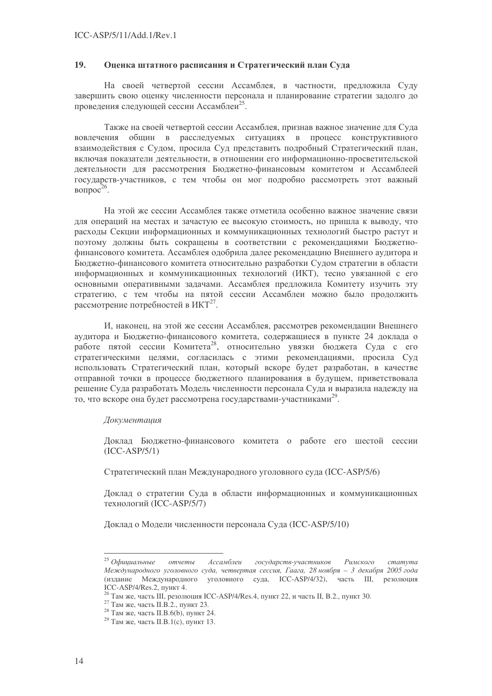#### 19. Оценка штатного расписания и Стратегический план Суда

На своей четвертой сессии Ассамблея, в частности, предложила Суду завершить свою оценку численности персонала и планирование стратегии залолго до проведения следующей сессии Ассамблеи<sup>25</sup>.

Также на своей четвертой сессии Ассамблея, признав важное значение для Суда вовлечения общин в расследуемых ситуациях в процесс конструктивного взаимодействия с Судом, просила Суд представить подробный Стратегический план, включая показатели деятельности, в отношении его информационно-просветительской леятельности для рассмотрения Бюлжетно-финансовым комитетом и Ассамблеей государств-участников, с тем чтобы он мог подробно рассмотреть этот важный вопрос<sup>26</sup>.

На этой же сессии Ассамблея также отметила особенно важное значение связи для операций на местах и зачастую ее высокую стоимость, но пришла к выводу, что расхолы Секции информационных и коммуникационных технологий быстро растут и поэтому должны быть сокращены в соответствии с рекомендациями Бюджетнофинансового комитета. Ассамблея одобрила далее рекомендацию Внешнего аудитора и Бюджетно-финансового комитета относительно разработки Судом стратегии в области информационных и коммуникационных технологий (ИКТ), тесно увязанной с его основными оперативными задачами. Ассамблея предложила Комитету изучить эту стратегию, с тем чтобы на пятой сессии Ассамблеи можно было продолжить рассмотрение потребностей в ИКТ<sup>27</sup>.

И, наконец, на этой же сессии Ассамблея, рассмотрев рекомендации Внешнего аулитора и Бюлжетно-финансового комитета, солержащиеся в пункте 24 локлада о работе пятой сессии Комитета<sup>28</sup>, относительно увязки бюджета Суда с его стратегическими целями, согласилась с этими рекомендациями, просила Суд использовать Стратегический план, который вскоре будет разработан, в качестве отправной точки в процессе бюджетного планирования в будущем, приветствовала решение Суда разработать Модель численности персонала Суда и выразила надежду на то, что вскоре она будет рассмотрена государствами-участниками<sup>29</sup>.

### **Локументаиия**

Доклад Бюджетно-финансового комитета о работе его шестой сессии  $(ICC-ASP/5/1)$ 

Стратегический план Международного уголовного суда (ICC-ASP/5/6)

Доклад о стратегии Суда в области информационных и коммуникационных технологий (ICC-ASP/5/7)

Доклад о Модели численности персонала Суда (ICC-ASP/5/10)

 $25$  Официальные Ассамблеи государств-участников cmamvma отчеты Римского Международного уголовного суда, четвертая сессия, Гаага, 28 ноября - 3 декабря 2005 года (издание Международного уголовного суда, ICC-ASP/4/32), часть III, резолюция ICC-ASP/4/Res. 2.  $\overline{IVH}$  TV

 $6$  Там же, часть III, резолюция ICC-ASP/4/Res.4, пункт 22, и часть II, В.2., пункт 30.

 $^{27}$  Tam же, часть II.B.2., пункт 23.

<sup>&</sup>lt;sup>28</sup> Там же, часть II.В.6(b), пункт 24.

<sup>&</sup>lt;sup>29</sup> Там же, часть II.B.1(с), пункт 13.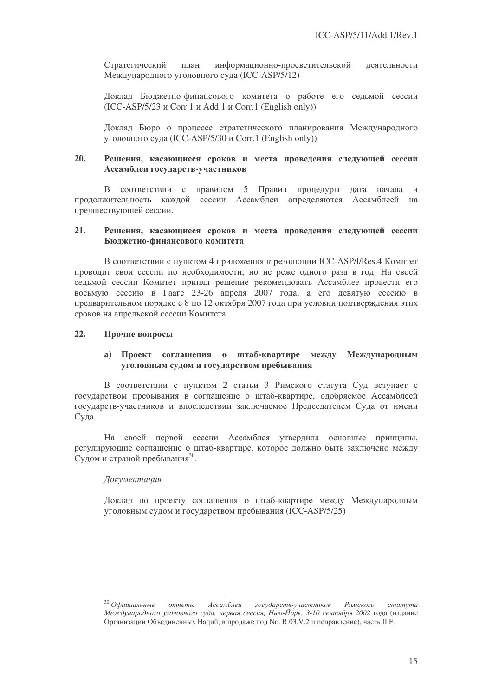Стратегический пла н информационно-просветительской де ятельности Международного уголовного суда (ICC-ASP/5/12)

Доклад Бюджетно-финансового комитета о работе его седьмой сессии  $(ICC-ASP/5/23 \text{ u Corr.1 u Add.1 u Corr.1 (English only))$ 

Доклад Бюро о процессе стратегического планирования Международного уголовного суда (ICC-ASP/5/30 и Corr.1 (English only))

### 20. Решения, касающиеся сроков и места проведения следующей сессии Ассамблеи государств-участников

В соответствии с правилом 5 Правил процедуры дата начала и продолжительность каждой сессии Ассамблеи определяются Ассамблеей на предшествующей сессии.

### $21.$ шения, касающиеся сроков и места проведения следующей сессии Бюджетно-финансового комитета

В соответствии с пунктом 4 приложения к резолюции ICC-ASP/l/Res.4 Комитет проводит свои сессии по необходимости, но не реже одного раза в год. На своей седьмой сессии Комитет принял решение рекомендовать Ассамблее провести его восьмую сессию в Гааге 23-26 апреля 2007 года, а его девятую сессию в предварительном порядке с 8 по 12 октября 2007 года при условии подтверждения этих сроков на апрельской сессии Комитета.

# 22. Прочие вопросы

# а) Проект соглашения о штаб-квартире между Международным уголовным судом и государством пребывания

В соответствии с пунктом 2 статьи 3 Римского статута Суд вступает с государством пребывания в соглашение о штаб-квартире, одобряемое Ассамблеей государств-участников и впоследствии заключаемое Председателем Суда от имени Суда.

На своей первой сессии Ассамблея утвердила основные принципы, регулирующие соглашение о штаб-квартире, которое должно быть заключено между Судом и страной пребывания<sup>30</sup>.

### Документация

Доклад по проекту соглашения о штаб-квартире между Международным уголовным судом и государством пребывания (ICC-ASP/5/25)

<sup>&</sup>lt;sup>30</sup> Официальные отчеты Ассамблеи государств-участников Римского статута Международного уголовного суда, первая сессия, Нью-Йорк, 3-10 сентября 2002 года (издание Организации Объединенных Наций, в продаже под No. R.03.V.2 и исправление), часть II.F.